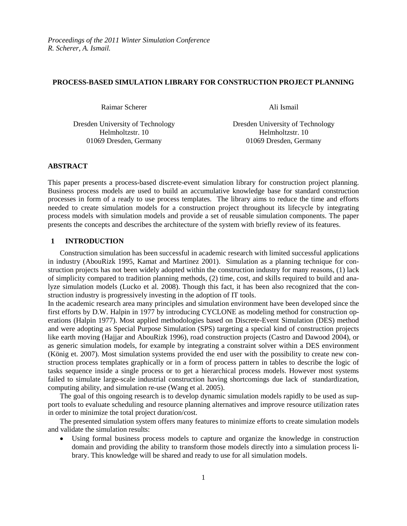# **PROCESS-BASED SIMULATION LIBRARY FOR CONSTRUCTION PROJECT PLANNING**

Raimar Scherer Ali Ismail

Dresden University of Technology Dresden University of Technology Helmholtzstr. 10 Helmholtzstr. 10 01069 Dresden, Germany 01069 Dresden, Germany

# **ABSTRACT**

This paper presents a process-based discrete-event simulation library for construction project planning. Business process models are used to build an accumulative knowledge base for standard construction processes in form of a ready to use process templates. The library aims to reduce the time and efforts needed to create simulation models for a construction project throughout its lifecycle by integrating process models with simulation models and provide a set of reusable simulation components. The paper presents the concepts and describes the architecture of the system with briefly review of its features.

# **1 INTRODUCTION**

Construction simulation has been successful in academic research with limited successful applications in industry (AbouRizk 1995, Kamat and Martinez 2001). Simulation as a planning technique for construction projects has not been widely adopted within the construction industry for many reasons, (1) lack of simplicity compared to tradition planning methods, (2) time, cost, and skills required to build and analyze simulation models (Lucko et al. 2008). Though this fact, it has been also recognized that the construction industry is progressively investing in the adoption of IT tools.

In the academic research area many principles and simulation environment have been developed since the first efforts by D.W. Halpin in 1977 by introducing CYCLONE as modeling method for construction operations (Halpin 1977). Most applied methodologies based on Discrete-Event Simulation (DES) method and were adopting as Special Purpose Simulation (SPS) targeting a special kind of construction projects like earth moving (Hajjar and AbouRizk 1996), road construction projects (Castro and Dawood 2004), or as generic simulation models, for example by integrating a constraint solver within a DES environment (König et. 2007). Most simulation systems provided the end user with the possibility to create new construction process templates graphically or in a form of process pattern in tables to describe the logic of tasks sequence inside a single process or to get a hierarchical process models. However most systems failed to simulate large-scale industrial construction having shortcomings due lack of standardization, computing ability, and simulation re-use (Wang et al. 2005).

The goal of this ongoing research is to develop dynamic simulation models rapidly to be used as support tools to evaluate scheduling and resource planning alternatives and improve resource utilization rates in order to minimize the total project duration/cost.

The presented simulation system offers many features to minimize efforts to create simulation models and validate the simulation results:

• Using formal business process models to capture and organize the knowledge in construction domain and providing the ability to transform those models directly into a simulation process library. This knowledge will be shared and ready to use for all simulation models.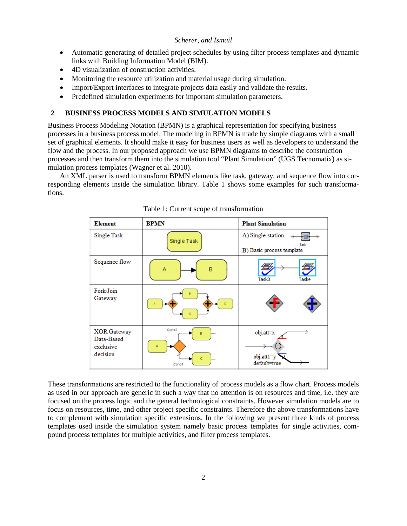- Automatic generating of detailed project schedules by using filter process templates and dynamic links with Building Information Model (BIM).
- 4D visualization of construction activities.
- Monitoring the resource utilization and material usage during simulation.
- Import/Export interfaces to integrate projects data easily and validate the results.
- Predefined simulation experiments for important simulation parameters.

# **2 BUSINESS PROCESS MODELS AND SIMULATION MODELS**

Business Process Modeling Notation (BPMN) is a graphical representation for specifying business processes in a business process model. The modeling in BPMN is made by simple diagrams with a small set of graphical elements. It should make it easy for business users as well as developers to understand the flow and the process. In our proposed approach we use BPMN diagrams to describe the construction processes and then transform them into the simulation tool "Plant Simulation" (UGS Tecnomatix) as simulation process templates (Wagner et al. 2010).

An XML parser is used to transform BPMN elements like task, gateway, and sequence flow into corresponding elements inside the simulation library. Table 1 shows some examples for such transformations.



Table 1: Current scope of transformation

These transformations are restricted to the functionality of process models as a flow chart. Process models as used in our approach are generic in such a way that no attention is on resources and time, i.e. they are focused on the process logic and the general technological constraints. However simulation models are to focus on resources, time, and other project specific constraints. Therefore the above transformations have to complement with simulation specific extensions. In the following we present three kinds of process templates used inside the simulation system namely basic process templates for single activities, compound process templates for multiple activities, and filter process templates.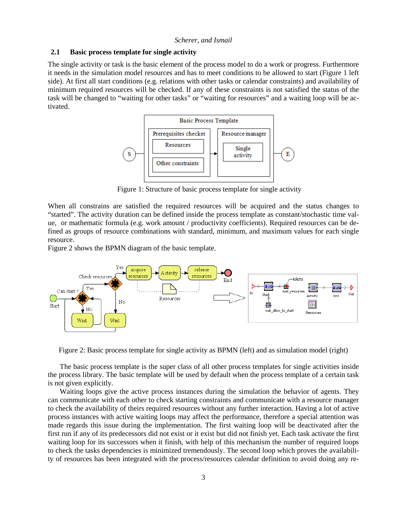# **2.1 Basic process template for single activity**

The single activity or task is the basic element of the process model to do a work or progress. Furthermore it needs in the simulation model resources and has to meet conditions to be allowed to start (Figure 1 left side). At first all start conditions (e.g. relations with other tasks or calendar constraints) and availability of minimum required resources will be checked. If any of these constraints is not satisfied the status of the task will be changed to "waiting for other tasks" or "waiting for resources" and a waiting loop will be activated.



Figure 1: Structure of basic process template for single activity

When all constrains are satisfied the required resources will be acquired and the status changes to "started". The activity duration can be defined inside the process template as constant/stochastic time value, or mathematic formula (e.g. work amount / productivity coefficients). Required resources can be defined as groups of resource combinations with standard, minimum, and maximum values for each single resource.

Figure 2 shows the BPMN diagram of the basic template.



Figure 2: Basic process template for single activity as BPMN (left) and as simulation model (right)

The basic process template is the super class of all other process templates for single activities inside the process library. The basic template will be used by default when the process template of a certain task is not given explicitly.

Waiting loops give the active process instances during the simulation the behavior of agents. They can communicate with each other to check starting constraints and communicate with a resource manager to check the availability of theirs required resources without any further interaction. Having a lot of active process instances with active waiting loops may affect the performance, therefore a special attention was made regards this issue during the implementation. The first waiting loop will be deactivated after the first run if any of its predecessors did not exist or it exist but did not finish yet. Each task activate the first waiting loop for its successors when it finish, with help of this mechanism the number of required loops to check the tasks dependencies is minimized tremendously. The second loop which proves the availability of resources has been integrated with the process/resources calendar definition to avoid doing any re-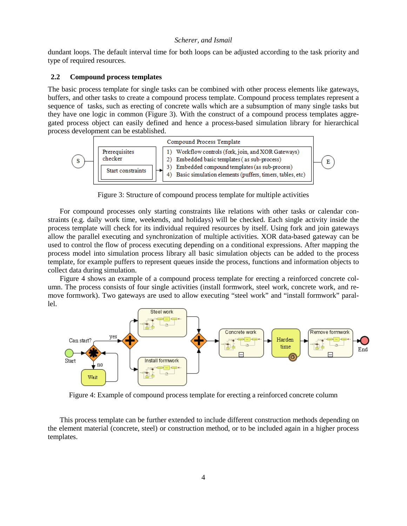dundant loops. The default interval time for both loops can be adjusted according to the task priority and type of required resources.

# **2.2 Compound process templates**

The basic process template for single tasks can be combined with other process elements like gateways, buffers, and other tasks to create a compound process template. Compound process templates represent a sequence of tasks, such as erecting of concrete walls which are a subsumption of many single tasks but they have one logic in common (Figure 3). With the construct of a compound process templates aggregated process object can easily defined and hence a process-based simulation library for hierarchical process development can be established.



Figure 3: Structure of compound process template for multiple activities

For compound processes only starting constraints like relations with other tasks or calendar constraints (e.g. daily work time, weekends, and holidays) will be checked. Each single activity inside the process template will check for its individual required resources by itself. Using fork and join gateways allow the parallel executing and synchronization of multiple activities. XOR data-based gateway can be used to control the flow of process executing depending on a conditional expressions. After mapping the process model into simulation process library all basic simulation objects can be added to the process template, for example puffers to represent queues inside the process, functions and information objects to collect data during simulation.

Figure 4 shows an example of a compound process template for erecting a reinforced concrete column. The process consists of four single activities (install formwork, steel work, concrete work, and remove formwork). Two gateways are used to allow executing "steel work" and "install formwork" parallel.



Figure 4: Example of compound process template for erecting a reinforced concrete column

This process template can be further extended to include different construction methods depending on the element material (concrete, steel) or construction method, or to be included again in a higher process templates.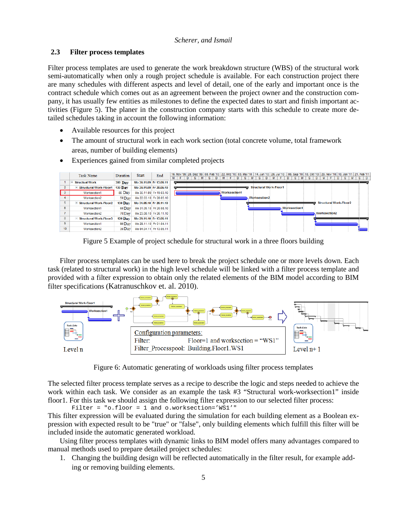# **2.3 Filter process templates**

Filter process templates are used to generate the work breakdown structure (WBS) of the structural work semi-automatically when only a rough project schedule is available. For each construction project there are many schedules with different aspects and level of detail, one of the early and important once is the contract schedule which comes out as an agreement between the project owner and the construction company, it has usually few entities as milestones to define the expected dates to start and finish important activities (Figure 5). The planer in the construction company starts with this schedule to create more detailed schedules taking in account the following information:

- Available resources for this project
- The amount of structural work in each work section (total concrete volume, total framework areas, number of building elements)
- Experiences gained from similar completed projects

|              | Task Name                | Duration       | <b>Start</b>            | End |   |  |   |    |     |  | 16. Nov '09 28. Dez '09   08. Feb '10   22. Mrz '10   03. Mai '10   14. Jun '10   26. Jul '10   06. Sep '10   18. Okt '10   29. Nov '10   10. Jan '11   21. Feb '11 |   |    |   |                |                     |                               |   |                     |     |                               |  |   |  |           |
|--------------|--------------------------|----------------|-------------------------|-----|---|--|---|----|-----|--|---------------------------------------------------------------------------------------------------------------------------------------------------------------------|---|----|---|----------------|---------------------|-------------------------------|---|---------------------|-----|-------------------------------|--|---|--|-----------|
|              |                          |                |                         |     | м |  | D | S. | s l |  |                                                                                                                                                                     | D | S. | M | S <sub>1</sub> | D                   | $M$ F                         | D | S.                  | s i | D                             |  | D |  | $S$   $D$ |
|              | <b>Structual Work</b>    | <b>380 Day</b> | Mo 30.11.09 Fr 13.05.11 |     |   |  |   |    |     |  |                                                                                                                                                                     |   |    |   |                |                     |                               |   |                     |     |                               |  |   |  |           |
|              | Structural Work-Floor1   | <b>130 Day</b> | Mo 30.11.09 Fr 28.05.10 |     |   |  |   |    |     |  |                                                                                                                                                                     |   |    |   |                |                     | <b>Structural Work-Floor1</b> |   |                     |     |                               |  |   |  |           |
|              | Worksection1             | 80 Day         | Mo 30.11.09 Fr 19.03.10 |     |   |  |   |    |     |  | <b>Worksection1</b>                                                                                                                                                 |   |    |   |                |                     |                               |   |                     |     |                               |  |   |  |           |
|              | Worksection2             | 50 Day         | Mo 22.03.10 Fr 28.05.10 |     |   |  |   |    |     |  |                                                                                                                                                                     |   |    |   |                | <b>Worksection2</b> |                               |   |                     |     |                               |  |   |  |           |
|              | - Structural Work-Floor2 | $130$ Day      | Mo 31.05.10 Fr 26.11.10 |     |   |  |   |    |     |  |                                                                                                                                                                     |   |    |   |                |                     |                               |   |                     |     | <b>Structural Work-Floor2</b> |  |   |  |           |
| 6            | Worksection1             | 60 Day         | Mo 31.05.10 Fr 20.08.10 |     |   |  |   |    |     |  |                                                                                                                                                                     |   |    |   |                |                     |                               |   | <b>Worksection1</b> |     |                               |  |   |  |           |
|              | Worksection2             | 70Day          | Mo 23.08.10 Fr 26.11.10 |     |   |  |   |    |     |  |                                                                                                                                                                     |   |    |   |                |                     |                               |   |                     |     | <b>Worksection2</b>           |  |   |  |           |
| 8            | - Structural Work-Floor3 | $120$ Day      | Mo 29.11.10 Fr 13.05.11 |     |   |  |   |    |     |  |                                                                                                                                                                     |   |    |   |                |                     |                               |   |                     |     |                               |  |   |  |           |
| $\mathbf{9}$ | Worksection1             | 90 Day         | Mo 29.11.10 Fr 01.04.11 |     |   |  |   |    |     |  |                                                                                                                                                                     |   |    |   |                |                     |                               |   |                     |     |                               |  |   |  |           |
| 10           | Worksection2             | 30 Day         | Mo 04.04.11 Fr 13.05.11 |     |   |  |   |    |     |  |                                                                                                                                                                     |   |    |   |                |                     |                               |   |                     |     |                               |  |   |  |           |

Figure 5 Example of project schedule for structural work in a three floors building

Filter process templates can be used here to break the project schedule one or more levels down. Each task (related to structural work) in the high level schedule will be linked with a filter process template and provided with a filter expression to obtain only the related elements of the BIM model according to BIM filter specifications (Katranuschkov et. al. 2010).



Figure 6: Automatic generating of workloads using filter process templates

The selected filter process template serves as a recipe to describe the logic and steps needed to achieve the work within each task. We consider as an example the task #3 "Structural work-worksection1" inside floor1. For this task we should assign the following filter expression to our selected filter process:

Filter = "o.floor = 1 and o.worksection='WS1'" This filter expression will be evaluated during the simulation for each building element as a Boolean expression with expected result to be "true" or "false", only building elements which fulfill this filter will be included inside the automatic generated workload.

Using filter process templates with dynamic links to BIM model offers many advantages compared to manual methods used to prepare detailed project schedules:

1. Changing the building design will be reflected automatically in the filter result, for example adding or removing building elements.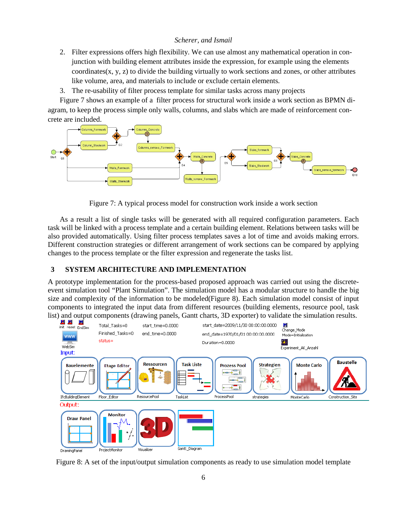- 2. Filter expressions offers high flexibility. We can use almost any mathematical operation in conjunction with building element attributes inside the expression, for example using the elements coordinates $(x, y, z)$  to divide the building virtually to work sections and zones, or other attributes like volume, area, and materials to include or exclude certain elements.
- 3. The re-usability of filter process template for similar tasks across many projects

Figure 7 shows an example of a filter process for structural work inside a work section as BPMN diagram, to keep the process simple only walls, columns, and slabs which are made of reinforcement concrete are included.



Figure 7: A typical process model for construction work inside a work section

As a result a list of single tasks will be generated with all required configuration parameters. Each task will be linked with a process template and a certain building element. Relations between tasks will be also provided automatically. Using filter process templates saves a lot of time and avoids making errors. Different construction strategies or different arrangement of work sections can be compared by applying changes to the process template or the filter expression and regenerate the tasks list.

# **3 SYSTEM ARCHITECTURE AND IMPLEMENTATION**

A prototype implementation for the process-based proposed approach was carried out using the discreteevent simulation tool "Plant Simulation". The simulation model has a modular structure to handle the big size and complexity of the information to be modeled(Figure 8). Each simulation model consist of input components to integrated the input data from different resources (building elements, resource pool, task



Figure 8: A set of the input/output simulation components as ready to use simulation model template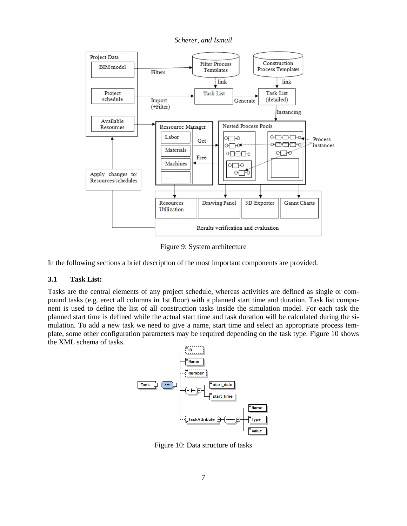*Scherer, and Ismail*



Figure 9: System architecture

In the following sections a brief description of the most important components are provided.

# **3.1 Task List:**

Tasks are the central elements of any project schedule, whereas activities are defined as single or compound tasks (e.g. erect all columns in 1st floor) with a planned start time and duration. Task list component is used to define the list of all construction tasks inside the simulation model. For each task the planned start time is defined while the actual start time and task duration will be calculated during the simulation. To add a new task we need to give a name, start time and select an appropriate process template, some other configuration parameters may be required depending on the task type. Figure 10 shows the XML schema of tasks.



Figure 10: Data structure of tasks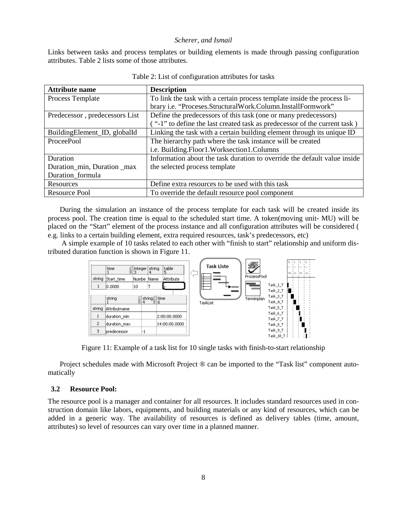Links between tasks and process templates or building elements is made through passing configuration attributes. Table 2 lists some of those attributes.

| <b>Attribute name</b>          | <b>Description</b>                                                        |
|--------------------------------|---------------------------------------------------------------------------|
| Process Template               | To link the task with a certain process template inside the process li-   |
|                                | brary i.e. "Proceses.StructuralWork.Column.InstallFormwork"               |
| Predecessor, predecessors List | Define the predecessors of this task (one or many predecessors)           |
|                                | ("-1" to define the last created task as predecessor of the current task) |
| BuildingElement_ID, globalId   | Linking the task with a certain building element through its unique ID    |
| ProceePool                     | The hierarchy path where the task instance will be created                |
|                                | i.e. Building.Floor1.Worksection1.Columns                                 |
| Duration                       | Information about the task duration to override the default value inside  |
| Duration_min, Duration _max    | the selected process template                                             |
| Duration formula               |                                                                           |
| Resources                      | Define extra resources to be used with this task                          |
| Resource Pool                  | To override the default resource pool component                           |

During the simulation an instance of the process template for each task will be created inside its process pool. The creation time is equal to the scheduled start time. A token(moving unit- MU) will be placed on the "Start" element of the process instance and all configuration attributes will be considered ( e.g. links to a certain building element, extra required resources, task's predecessors, etc)

A simple example of 10 tasks related to each other with "finish to start" relationship and uniform distributed duration function is shown in Figure 11.



Figure 11: Example of a task list for 10 single tasks with finish-to-start relationship

Project schedules made with Microsoft Project ® can be imported to the "Task list" component automatically

#### **3.2 Resource Pool:**

The resource pool is a manager and container for all resources. It includes standard resources used in construction domain like labors, equipments, and building materials or any kind of resources, which can be added in a generic way. The availability of resources is defined as delivery tables (time, amount, attributes) so level of resources can vary over time in a planned manner.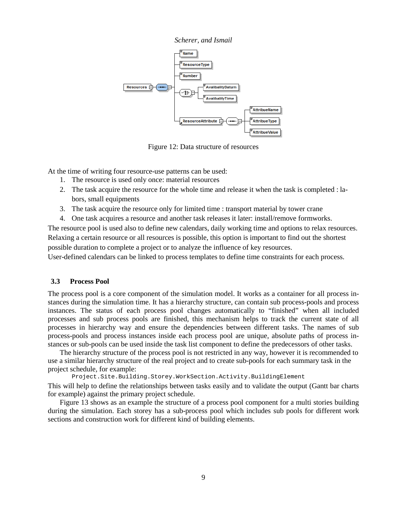

Figure 12: Data structure of resources

At the time of writing four resource-use patterns can be used:

- 1. The resource is used only once: material resources
- 2. The task acquire the resource for the whole time and release it when the task is completed : labors, small equipments
- 3. The task acquire the resource only for limited time : transport material by tower crane
- 4. One task acquires a resource and another task releases it later: install/remove formworks.

The resource pool is used also to define new calendars, daily working time and options to relax resources. Relaxing a certain resource or all resources is possible, this option is important to find out the shortest possible duration to complete a project or to analyze the influence of key resources.

User-defined calendars can be linked to process templates to define time constraints for each process.

# **3.3 Process Pool**

The process pool is a core component of the simulation model. It works as a container for all process instances during the simulation time. It has a hierarchy structure, can contain sub process-pools and process instances. The status of each process pool changes automatically to "finished" when all included processes and sub process pools are finished, this mechanism helps to track the current state of all processes in hierarchy way and ensure the dependencies between different tasks. The names of sub process-pools and process instances inside each process pool are unique, absolute paths of process instances or sub-pools can be used inside the task list component to define the predecessors of other tasks.

The hierarchy structure of the process pool is not restricted in any way, however it is recommended to use a similar hierarchy structure of the real project and to create sub-pools for each summary task in the project schedule, for example:

Project.Site.Building.Storey.WorkSection.Activity.BuildingElement

This will help to define the relationships between tasks easily and to validate the output (Gantt bar charts for example) against the primary project schedule.

Figure 13 shows as an example the structure of a process pool component for a multi stories building during the simulation. Each storey has a sub-process pool which includes sub pools for different work sections and construction work for different kind of building elements.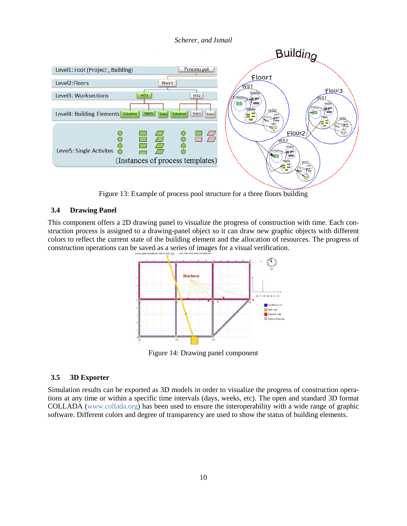

Figure 13: Example of process pool structure for a three floors building

# **3.4 Drawing Panel**

This component offers a 2D drawing panel to visualize the progress of construction with time. Each construction process is assigned to a drawing-panel object so it can draw new graphic objects with different colors to reflect the current state of the building element and the allocation of resources. The progress of construction operations can be saved as a series of images for a visual verification.



Figure 14: Drawing panel component

## **3.5 3D Exporter**

Simulation results can be exported as 3D models in order to visualize the progress of construction operations at any time or within a specific time intervals (days, weeks, etc). The open and standard 3D format COLLADA (www.collada.org) has been used to ensure the interoperability with a wide range of graphic software. Different colors and degree of transparency are used to show the status of building elements.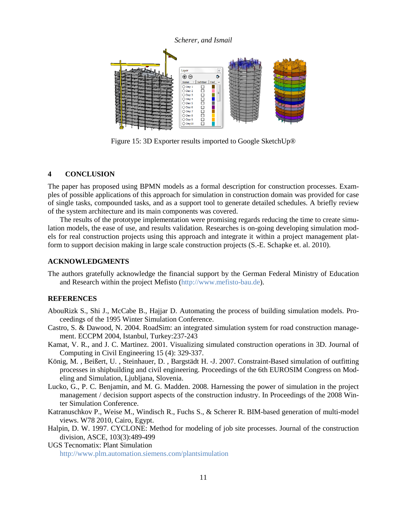#### *Scherer, and Ismail* Layer  $\boxed{\mathbb{Z}}$  $\overline{\mathbf{D}}$  $\overline{\oplus$ Name Sichtbar Fart  $\bigcirc$  Dav 1 Г 00000000000 ິ⊃<br>O Dav 2  $\supset$  Day 3  $\bigcirc$  Day 4 ○ ==,<br>○ Day 5<br>○ Day 6  $\bigcirc$  Day 7 O Day 8  $\bigcirc$  Day 9  $\bigcirc$  Dav10

Figure 15: 3D Exporter results imported to Google SketchUp®

# **4 CONCLUSION**

The paper has proposed using BPMN models as a formal description for construction processes. Examples of possible applications of this approach for simulation in construction domain was provided for case of single tasks, compounded tasks, and as a support tool to generate detailed schedules. A briefly review of the system architecture and its main components was covered.

The results of the prototype implementation were promising regards reducing the time to create simulation models, the ease of use, and results validation. Researches is on-going developing simulation models for real construction projects using this approach and integrate it within a project management platform to support decision making in large scale construction projects (S.-E. Schapke et. al. 2010).

## **ACKNOWLEDGMENTS**

The authors gratefully acknowledge the financial support by the German Federal Ministry of Education and Research within the project Mefisto [\(http://www.mefisto-bau.de\)](http://www.mefisto-bau.de/).

## **REFERENCES**

- AbouRizk S., Shi J., McCabe B., Hajjar D. Automating the process of building simulation models. Proceedings of the 1995 Winter Simulation Conference.
- Castro, S. & Dawood, N. 2004. RoadSim: an integrated simulation system for road construction management. ECCPM 2004, Istanbul, Turkey:237-243
- Kamat, V. R., and J. C. Martinez. 2001. Visualizing simulated construction operations in 3D. Journal of Computing in Civil Engineering 15 (4): 329-337.
- König, M. , Beißert, U. , Steinhauer, D. , Bargstädt H. -J. 2007. Constraint-Based simulation of outfitting processes in shipbuilding and civil engineering. Proceedings of the 6th EUROSIM Congress on Modeling and Simulation, Ljubljana, Slovenia.
- Lucko, G., P. C. Benjamin, and M. G. Madden. 2008. Harnessing the power of simulation in the project management / decision support aspects of the construction industry. In Proceedings of the 2008 Winter Simulation Conference.
- Katranuschkov P., Weise M., Windisch R., Fuchs S., & Scherer R. BIM-based generation of multi-model views. W78 2010, Cairo, Egypt.
- Halpin, D. W. 1997. CYCLONE: Method for modeling of job site processes. Journal of the construction division, ASCE, 103(3):489-499

UGS Tecnomatix: Plant Simulation

<http://www.plm.automation.siemens.com/plantsimulation>